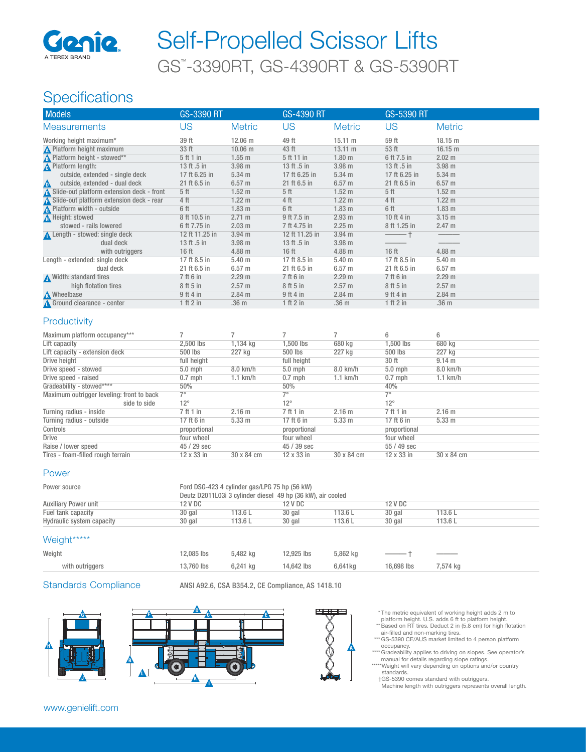

# GS™ -3390RT, GS-4390RT & GS-5390RT Self-Propelled Scissor Lifts

## Specifications

| <b>Models</b>                              | <b>GS-3390 RT</b> |                   | <b>GS-4390 RT</b> |                   | <b>GS-5390 RT</b> |                   |
|--------------------------------------------|-------------------|-------------------|-------------------|-------------------|-------------------|-------------------|
| <b>Measurements</b>                        | US                | <b>Metric</b>     | US                | <b>Metric</b>     | US                | <b>Metric</b>     |
| Working height maximum*                    | 39 ft             | 12.06 m           | 49 ft             | 15.11 m           | 59 ft             | 18.15 m           |
| <b>A</b> Platform height maximum           | 33 ft             | 10.06 m           | 43 ft             | $13.11 \text{ m}$ | 53 ft             | 16.15 m           |
| <b>A</b> Platform height - stowed**        | 5 ft 1 in         | $1.55 \;{\rm m}$  | 5 ft 11 in        | 1.80 <sub>m</sub> | 6 ft 7.5 in       | $2.02 \text{ m}$  |
| <b>A</b> Platform length:                  | 13 ft .5 in       | 3.98 <sub>m</sub> | 13 ft .5 in       | 3.98 <sub>m</sub> | 13 ft .5 in       | 3.98 <sub>m</sub> |
| outside, extended - single deck            | 17 ft 6.25 in     | $5.34 \; m$       | 17 ft 6.25 in     | $5.34 \text{ m}$  | 17 ft 6.25 in     | $5.34$ m          |
| outside, extended - dual deck<br>Δ         | 21 ft 6.5 in      | 6.57 <sub>m</sub> | 21 ft 6.5 in      | 6.57 <sub>m</sub> | 21 ft 6.5 in      | 6.57 <sub>m</sub> |
| Slide-out platform extension deck - front  | 5 <sup>th</sup>   | $1.52 \text{ m}$  | 5 <sub>ft</sub>   | $1.52 \text{ m}$  | 5 <sub>ft</sub>   | 1.52 <sub>m</sub> |
| A Slide-out platform extension deck - rear | 4 ft              | $1.22 \text{ m}$  | 4 ft              | $1.22 \text{ m}$  | 4 ft              | $1.22 \text{ m}$  |
| <b>A</b> Platform width - outside          | 6 ft              | 1.83 <sub>m</sub> | 6 ft              | 1.83 <sub>m</sub> | 6 ft              | 1.83 <sub>m</sub> |
| Height: stowed                             | 8 ft 10.5 in      | 2.71 m            | 9 ft 7.5 in       | 2.93 m            | 10 ft 4 in        | $3.15 \text{ m}$  |
| stowed - rails lowered                     | 6 ft 7.75 in      | 2.03 m            | 7 ft 4.75 in      | 2.25 m            | 8 ft 1.25 in      | 2.47 m            |
| Length - stowed: single deck               | 12 ft 11.25 in    | $3.94 \; m$       | 12 ft 11.25 in    | $3.94$ m          |                   |                   |
| dual deck                                  | 13 ft .5 in       | 3.98 <sub>m</sub> | 13 ft .5 in       | 3.98 <sub>m</sub> |                   |                   |
| with outriggers                            | 16 <sub>ft</sub>  | 4.88 <sub>m</sub> | 16 <sub>ft</sub>  | 4.88 m            | 16 <sub>ft</sub>  | $4.88$ m          |
| Length - extended: single deck             | 17 ft 8.5 in      | $5.40 \;{\rm m}$  | 17 ft 8.5 in      | $5.40 \;{\rm m}$  | 17 ft 8.5 in      | 5.40 m            |
| dual deck                                  | 21 ft 6.5 in      | 6.57 <sub>m</sub> | 21 ft 6.5 in      | 6.57 <sub>m</sub> | 21 ft 6.5 in      | 6.57 <sub>m</sub> |
| Width: standard tires                      | 7 ft 6 in         | 2.29 m            | 7 ft 6 in         | 2.29 m            | 7 ft 6 in         | 2.29 m            |
| high flotation tires                       | 8 ft 5 in         | 2.57 m            | 8 ft 5 in         | 2.57 m            | 8 ft 5 in         | 2.57 m            |
| <b>M</b> Wheelbase                         | $9$ ft 4 in       | 2.84 m            | $9$ ft 4 in       | 2.84 m            | $9$ ft 4 in       | $2.84$ m          |
| Ground clearance - center                  | 1 ft 2 in         | .36 m             | 1 ft 2 in         | .36 <sub>m</sub>  | 1 ft 2 in         | .36 <sub>m</sub>  |

#### **Productivity**

| Maximum platform occupancy***             |              |                   |              |                   | 6            | 6                 |
|-------------------------------------------|--------------|-------------------|--------------|-------------------|--------------|-------------------|
| Lift capacity                             | 2.500 lbs    | 1,134 kg          | 1.500 lbs    | 680 kg            | 1.500 lbs    | 680 kg            |
| Lift capacity - extension deck            | 500 lbs      | 227 kg            | 500 lbs      | 227 kg            | 500 lbs      | 227 kg            |
| Drive height                              | full height  |                   | full height  |                   | 30 ft        | 9.14 <sub>m</sub> |
| Drive speed - stowed                      | $5.0$ mph    | 8.0 km/h          | $5.0$ mph    | 8.0 km/h          | $5.0$ mph    | 8.0 km/h          |
| Drive speed - raised                      | $0.7$ mph    | $1.1$ km/h        | $0.7$ mph    | $1.1$ km/h        | $0.7$ mph    | $1.1$ km/h        |
| Gradeability - stowed****                 | 50%          |                   | 50%          |                   | 40%          |                   |
| Maximum outrigger leveling: front to back | $7^\circ$    |                   | 70           |                   | 7°           |                   |
| side to side                              | $12^{\circ}$ |                   | $12^{\circ}$ |                   | $12^{\circ}$ |                   |
| Turning radius - inside                   | 7 ft 1 in    | 2.16 m            | 7 ft 1 in    | 2.16 <sub>m</sub> | 7 ft 1 in    | 2.16 <sub>m</sub> |
| Turning radius - outside                  | 17 ft 6 in   | 5.33 <sub>m</sub> | 17 ft 6 in   | 5.33 <sub>m</sub> | 17 ft 6 in   | $5.33 \text{ m}$  |
| Controls                                  | proportional |                   | proportional |                   | proportional |                   |
| Drive                                     | four wheel   |                   | four wheel   |                   | four wheel   |                   |
| Raise / lower speed                       | 45 / 29 sec  |                   | 45 / 39 sec  |                   | $55/49$ sec  |                   |
| Tires - foam-filled rough terrain         | 12 x 33 in   | 30 x 84 cm        | 12 x 33 in   | 30 x 84 cm        | 12 x 33 in   | 30 x 84 cm        |

#### Power

| Power source                | Ford DSG-423 4 cylinder gas/LPG 75 hp (56 kW)<br>Deutz D2011L03i 3 cylinder diesel 49 hp (36 kW), air cooled |         |         |         |         |        |  |
|-----------------------------|--------------------------------------------------------------------------------------------------------------|---------|---------|---------|---------|--------|--|
| <b>Auxiliary Power unit</b> | 12 V DC                                                                                                      |         | 12 V DC |         | 12 V DC |        |  |
| Fuel tank capacity          | 30 gal                                                                                                       | 113.6 L | 30 gal  | 113.6 L | 30 gal  | 113.6L |  |
| Hydraulic system capacity   | 30 gal                                                                                                       | 113.6 L | 30 gal  | 113.6 L | 30 gal  | 113.6L |  |

#### Weight\*\*\*\*\*

| Weight          | 12,085 lbs 5,482 kg | 12,925 lbs 5,862 kg |                     |  |
|-----------------|---------------------|---------------------|---------------------|--|
| with outriggers | 13.760 lbs 6.241 kg | 14,642 lbs 6,641kg  | 16.698 lbs 7.574 kg |  |
|                 |                     |                     |                     |  |

Standards Compliance ANSI A92.6, CSA B354.2, CE Compliance, AS 1418.10







 \* The metric equivalent of working height adds 2 m to platform height. U.S. adds 6 ft to platform height.

- \*\* Based on RT tires. Deduct 2 in (5.8 cm) for high flotation air-filled and non-marking tires. \*\*\* GS-5390 CE/AUS market limited to 4 person platform
- 
- occupancy. \*\*\*\* Gradeability applies to driving on slopes. See operator's manual for details regarding slope ratings.
- \*\*\*\*\* Weight will vary depending on options and/or country<br>standards.

 † GS-5390 comes standard with outriggers. Machine length with outriggers represents overall length.